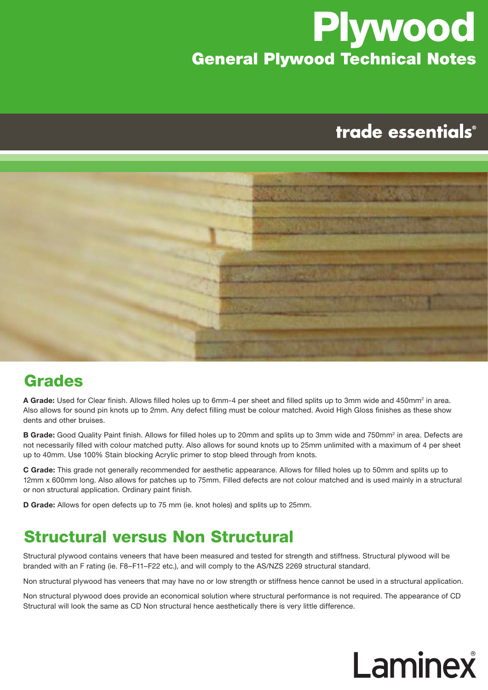## **Plywood** General Plywood Technical Notes

## trade essentials®



#### Grades

A Grade: Used for Clear finish. Allows filled holes up to 6mm-4 per sheet and filled splits up to 3mm wide and 450mm<sup>2</sup> in area. Also allows for sound pin knots up to 2mm. Any defect filling must be colour matched. Avoid High Gloss finishes as these show dents and other bruises.

**B Grade:** Good Quality Paint finish. Allows for filled holes up to 20mm and splits up to 3mm wide and 750mm<sup>2</sup> in area. Defects are not necessarily filled with colour matched putty. Also allows for sound knots up to 25mm unlimited with a maximum of 4 per sheet up to 40mm. Use 100% Stain blocking Acrylic primer to stop bleed through from knots.

**C Grade:** This grade not generally recommended for aesthetic appearance. Allows for filled holes up to 50mm and splits up to 12mm x 600mm long. Also allows for patches up to 75mm. Filled defects are not colour matched and is used mainly in a structural or non structural application. Ordinary paint finish.

**D Grade:** Allows for open defects up to 75 mm (ie. knot holes) and splits up to 25mm.

#### Structural versus Non Structural

Structural plywood contains veneers that have been measured and tested for strength and stiffness. Structural plywood will be branded with an F rating (ie. F8–F11–F22 etc.), and will comply to the AS/NZS 2269 structural standard.

Non structural plywood has veneers that may have no or low strength or stiffness hence cannot be used in a structural application.

Non structural plywood does provide an economical solution where structural performance is not required. The appearance of CD Structural will look the same as CD Non structural hence aesthetically there is very little difference.

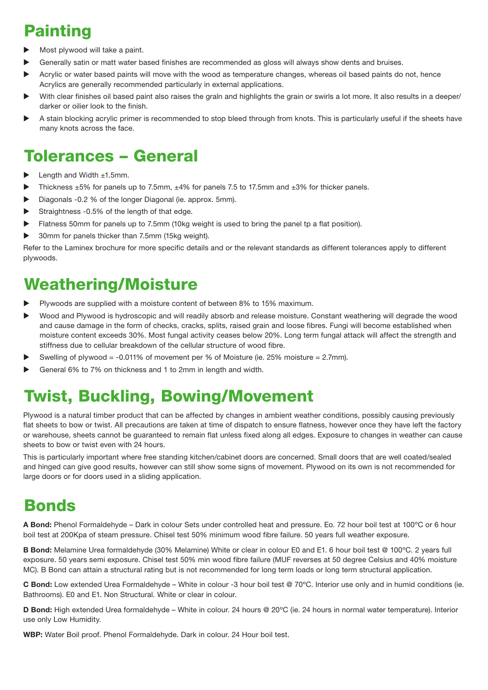## Painting

- Most plywood will take a paint.
- Generally satin or matt water based finishes are recommended as gloss will always show dents and bruises.
- Acrylic or water based paints will move with the wood as temperature changes, whereas oil based paints do not, hence Acrylics are generally recommended particularly in external applications.
- With clear finishes oil based paint also raises the grain and highlights the grain or swirls a lot more. It also results in a deeper/ darker or oilier look to the finish.
- A stain blocking acrylic primer is recommended to stop bleed through from knots. This is particularly useful if the sheets have many knots across the face.

#### Tolerances – General

- Length and Width  $±1.5$ mm.
- Thickness ±5% for panels up to 7.5mm, ±4% for panels 7.5 to 17.5mm and ±3% for thicker panels.
- Diagonals -0.2 % of the longer Diagonal (ie. approx. 5mm).
- Straightness -0.5% of the length of that edge.
- Flatness 50mm for panels up to 7.5mm (10kg weight is used to bring the panel tp a flat position).
- ▶ 30mm for panels thicker than 7.5mm (15kg weight).

Refer to the Laminex brochure for more specific details and or the relevant standards as different tolerances apply to different plywoods.

#### Weathering/Moisture

- Plywoods are supplied with a moisture content of between 8% to 15% maximum.
- Wood and Plywood is hydroscopic and will readily absorb and release moisture. Constant weathering will degrade the wood and cause damage in the form of checks, cracks, splits, raised grain and loose fibres. Fungi will become established when moisture content exceeds 30%. Most fungal activity ceases below 20%. Long term fungal attack will affect the strength and stiffness due to cellular breakdown of the cellular structure of wood fibre.
- Swelling of plywood = -0.011% of movement per % of Moisture (ie. 25% moisture = 2.7mm).
- General 6% to 7% on thickness and 1 to 2mm in length and width.

#### Twist, Buckling, Bowing/Movement

Plywood is a natural timber product that can be affected by changes in ambient weather conditions, possibly causing previously flat sheets to bow or twist. All precautions are taken at time of dispatch to ensure flatness, however once they have left the factory or warehouse, sheets cannot be guaranteed to remain flat unless fixed along all edges. Exposure to changes in weather can cause sheets to bow or twist even with 24 hours.

This is particularly important where free standing kitchen/cabinet doors are concerned. Small doors that are well coated/sealed and hinged can give good results, however can still show some signs of movement. Plywood on its own is not recommended for large doors or for doors used in a sliding application.

#### **Bonds**

**A Bond:** Phenol Formaldehyde – Dark in colour Sets under controlled heat and pressure. Eo. 72 hour boil test at 100ºC or 6 hour boil test at 200Kpa of steam pressure. Chisel test 50% minimum wood fibre failure. 50 years full weather exposure.

**B Bond:** Melamine Urea formaldehyde (30% Melamine) White or clear in colour E0 and E1. 6 hour boil test @ 100ºC. 2 years full exposure. 50 years semi exposure. Chisel test 50% min wood fibre failure (MUF reverses at 50 degree Celsius and 40% moisture MC). B Bond can attain a structural rating but is not recommended for long term loads or long term structural application.

**C Bond:** Low extended Urea Formaldehyde – White in colour -3 hour boil test @ 70ºC. Interior use only and in humid conditions (ie. Bathrooms). E0 and E1. Non Structural. White or clear in colour.

**D Bond:** High extended Urea formaldehyde – White in colour. 24 hours @ 20°C (ie. 24 hours in normal water temperature). Interior use only Low Humidity.

**WBP:** Water Boil proof. Phenol Formaldehyde. Dark in colour. 24 Hour boil test.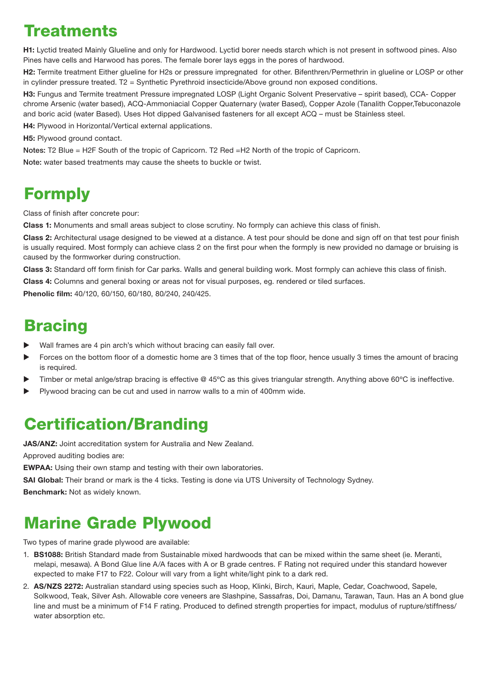#### Treatments

**H1:** Lyctid treated Mainly Glueline and only for Hardwood. Lyctid borer needs starch which is not present in softwood pines. Also Pines have cells and Harwood has pores. The female borer lays eggs in the pores of hardwood.

**H2:** Termite treatment Either glueline for H2s or pressure impregnated for other. Bifenthren/Permethrin in glueline or LOSP or other in cylinder pressure treated. T2 = Synthetic Pyrethroid insecticide/Above ground non exposed conditions.

**H3:** Fungus and Termite treatment Pressure impregnated LOSP (Light Organic Solvent Preservative – spirit based), CCA- Copper chrome Arsenic (water based), ACQ-Ammoniacial Copper Quaternary (water Based), Copper Azole (Tanalith Copper,Tebuconazole and boric acid (water Based). Uses Hot dipped Galvanised fasteners for all except ACQ – must be Stainless steel.

**H4:** Plywood in Horizontal/Vertical external applications.

**H5:** Plywood ground contact.

Notes: T2 Blue = H2F South of the tropic of Capricorn. T2 Red =H2 North of the tropic of Capricorn.

Note: water based treatments may cause the sheets to buckle or twist.

#### Formply

Class of finish after concrete pour:

**Class 1:** Monuments and small areas subject to close scrutiny. No formply can achieve this class of finish.

**Class 2:** Architectural usage designed to be viewed at a distance. A test pour should be done and sign off on that test pour finish is usually required. Most formply can achieve class 2 on the first pour when the formply is new provided no damage or bruising is caused by the formworker during construction.

**Class 3:** Standard off form finish for Car parks. Walls and general building work. Most formply can achieve this class of finish.

**Class 4:** Columns and general boxing or areas not for visual purposes, eg. rendered or tiled surfaces.

**Phenolic film:** 40/120, 60/150, 60/180, 80/240, 240/425.

#### **Bracing**

- Wall frames are 4 pin arch's which without bracing can easily fall over.
- Forces on the bottom floor of a domestic home are 3 times that of the top floor, hence usually 3 times the amount of bracing is required.
- Timber or metal anlge/strap bracing is effective @ 45°C as this gives triangular strength. Anything above 60°C is ineffective.
- Plywood bracing can be cut and used in narrow walls to a min of 400mm wide.

#### Certification/Branding

**JAS/ANZ:** Joint accreditation system for Australia and New Zealand.

Approved auditing bodies are:

**EWPAA:** Using their own stamp and testing with their own laboratories.

**SAI Global:** Their brand or mark is the 4 ticks. Testing is done via UTS University of Technology Sydney. **Benchmark:** Not as widely known.

#### Marine Grade Plywood

Two types of marine grade plywood are available:

- 1. **BS1088:** British Standard made from Sustainable mixed hardwoods that can be mixed within the same sheet (ie. Meranti, melapi, mesawa). A Bond Glue line A/A faces with A or B grade centres. F Rating not required under this standard however expected to make F17 to F22. Colour will vary from a light white/light pink to a dark red.
- 2. **AS/NZS 2272:** Australian standard using species such as Hoop, Klinki, Birch, Kauri, Maple, Cedar, Coachwood, Sapele, Solkwood, Teak, Silver Ash. Allowable core veneers are Slashpine, Sassafras, Doi, Damanu, Tarawan, Taun. Has an A bond glue line and must be a minimum of F14 F rating. Produced to defined strength properties for impact, modulus of rupture/stiffness/ water absorption etc.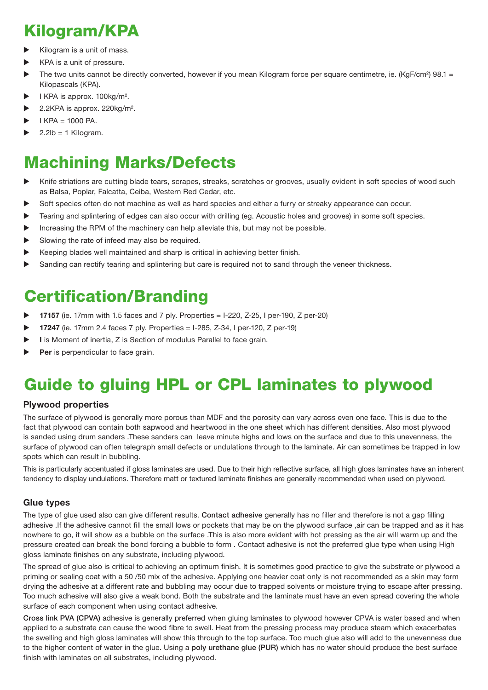### Kilogram/KPA

- Kilogram is a unit of mass.
- KPA is a unit of pressure.
- The two units cannot be directly converted, however if you mean Kilogram force per square centimetre, ie. (KgF/cm<sup>2</sup>) 98.1 = Kilopascals (KPA).
- $\blacktriangleright$  I KPA is approx. 100kg/m<sup>2</sup>.
- $\blacktriangleright$  2.2KPA is approx. 220kg/m<sup>2</sup>.
- $I$  KPA = 1000 PA.
- $2.2$ lb = 1 Kilogram.

#### Machining Marks/Defects

- Knife striations are cutting blade tears, scrapes, streaks, scratches or grooves, usually evident in soft species of wood such as Balsa, Poplar, Falcatta, Ceiba, Western Red Cedar, etc.
- Soft species often do not machine as well as hard species and either a furry or streaky appearance can occur.
- Tearing and splintering of edges can also occur with drilling (eg. Acoustic holes and grooves) in some soft species.
- Increasing the RPM of the machinery can help alleviate this, but may not be possible.
- Slowing the rate of infeed may also be required.
- Keeping blades well maintained and sharp is critical in achieving better finish.
- Sanding can rectify tearing and splintering but care is required not to sand through the veneer thickness.

#### Certification/Branding

- **17157** (ie. 17mm with 1.5 faces and 7 ply. Properties = I-220, Z-25, I per-190, Z per-20)
- **17247** (ie. 17mm 2.4 faces 7 ply. Properties = I-285, Z-34, I per-120, Z per-19)
- **I** is Moment of inertia, Z is Section of modulus Parallel to face grain.
- **Per** is perpendicular to face grain.

## Guide to gluing HPL or CPL laminates to plywood

#### **Plywood properties**

The surface of plywood is generally more porous than MDF and the porosity can vary across even one face. This is due to the fact that plywood can contain both sapwood and heartwood in the one sheet which has different densities. Also most plywood is sanded using drum sanders .These sanders can leave minute highs and lows on the surface and due to this unevenness, the surface of plywood can often telegraph small defects or undulations through to the laminate. Air can sometimes be trapped in low spots which can result in bubbling.

This is particularly accentuated if gloss laminates are used. Due to their high reflective surface, all high gloss laminates have an inherent tendency to display undulations. Therefore matt or textured laminate finishes are generally recommended when used on plywood.

#### **Glue types**

The type of glue used also can give different results. Contact adhesive generally has no filler and therefore is not a gap filling adhesive .If the adhesive cannot fill the small lows or pockets that may be on the plywood surface ,air can be trapped and as it has nowhere to go, it will show as a bubble on the surface .This is also more evident with hot pressing as the air will warm up and the pressure created can break the bond forcing a bubble to form . Contact adhesive is not the preferred glue type when using High gloss laminate finishes on any substrate, including plywood.

The spread of glue also is critical to achieving an optimum finish. It is sometimes good practice to give the substrate or plywood a priming or sealing coat with a 50 /50 mix of the adhesive. Applying one heavier coat only is not recommended as a skin may form drying the adhesive at a different rate and bubbling may occur due to trapped solvents or moisture trying to escape after pressing. Too much adhesive will also give a weak bond. Both the substrate and the laminate must have an even spread covering the whole surface of each component when using contact adhesive.

Cross link PVA (CPVA) adhesive is generally preferred when gluing laminates to plywood however CPVA is water based and when applied to a substrate can cause the wood fibre to swell. Heat from the pressing process may produce steam which exacerbates the swelling and high gloss laminates will show this through to the top surface. Too much glue also will add to the unevenness due to the higher content of water in the glue. Using a poly urethane glue (PUR) which has no water should produce the best surface finish with laminates on all substrates, including plywood.